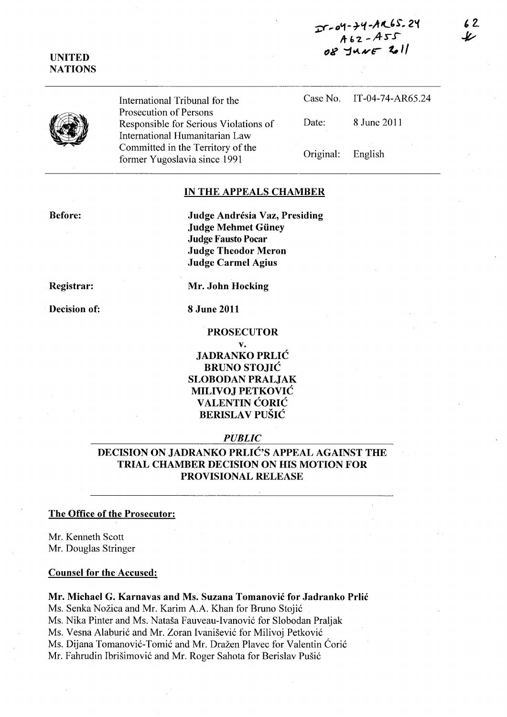$27 - 04 - 24 - 49 - 65.24$ *,+"2 \_A-rr*   $08$  JUNE 2011

## UNITED **NATIONS**



International Tribunal for the Prosecution of Persons Responsible for Serious Violations of International Humanitarian Law Committed in the Territory of the former Yugoslavia since 1991

Case No. IT-04-74-AR65.24 Date: 8 June 2011 Original: English

#### IN THE APPEALS CHAMBER

Before:

Judge Andrésia Vaz, Presiding Judge Mehmet Giiney **Judge Fausto Pocar** Judge Theodor Meron Judge Carmel Agius

Registrar:

Decision of: 8 June 2011

Mr. John Hocking

#### PROSECUTOR

v.

JADRANKO PRLIC BRUNO STOJIC SLOBODAN PRALJAK MILIVOJ PETKOVIC VALENTIN CORIC **BERISLAV PUŠIĆ** 

#### *PUBLIC*

DECISION ON JADRANKO PRLIC'S APPEAL AGAINST THE TRIAL CHAMBER DECISION ON HIS MOTION FOR PROVISIONAL RELEASE

#### The Office of the Prosecutor:

Mr. Kenneth Scott Mr. Douglas Stringer

#### Counsel for the Accused:

Mr. Michael G. Karnavas and Ms. Suzana Tomanovic for Jadranko Prlic Ms. Senka Nožica and Mr. Karim A.A. Khan for Bruno Stojić Ms. Nika Pinter and Ms. Natasa Fauveau-Ivanovi6 for Slobodan Praljak Ms. Vesna Alaburić and Mr. Zoran Ivanišević for Milivoj Petković Ms. Dijana Tomanović-Tomić and Mr. Dražen Plavec for Valentin Ćorić Mr. Fahrudin Ibrišimović and Mr. Roger Sahota for Berislav Pušić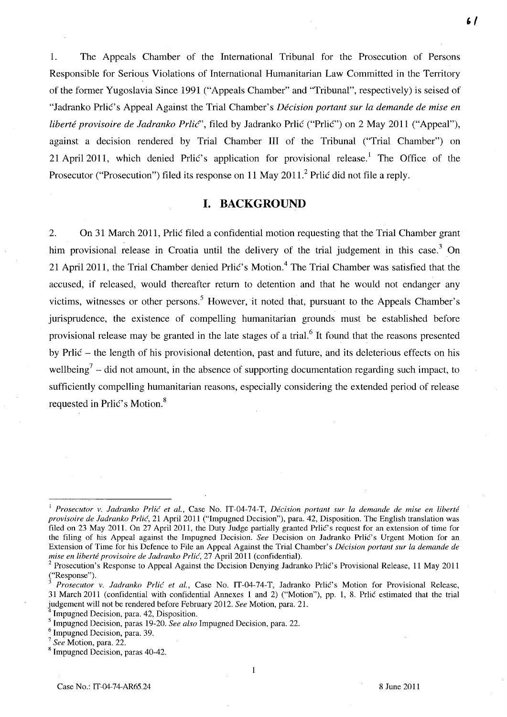1. The Appeals Chamber of the International Tribunal for the Prosecution of Persons Responsible for Serious Violations of International Humanitarian Law Committed in the Territory of the former Yugoslavia Since 1991 ("Appeals Chamber" and "Tribunal", respectively) is seised of "ladranko PrliC's Appeal Against the Trial Chamber's *Decision portant sur la demande de mise en liberté provisoire de Jadranko Prlic*", filed by Jadranko Prlic ("Prlic") on 2 May 2011 ("Appeal"), against a decision rendered by Trial Chamber **III** of the Tribunal ("Trial Chamber") on 21 April 2011, which denied Prlic's application for provisional release.<sup>1</sup> The Office of the Prosecutor ("Prosecution") filed its response on 11 May 2011.<sup>2</sup> Prlic did not file a reply.

### **I. BACKGROUND**

2. On 31 March 2011, Prlic filed a confidential motion requesting that the Trial Chamber grant him provisional release in Croatia until the delivery of the trial judgement in this case.<sup>3</sup> On 21 April 2011, the Trial Chamber denied Prlić's Motion.<sup>4</sup> The Trial Chamber was satisfied that the accused, if released, would thereafter return to detention and that he would not endanger any victims, witnesses or other persons.<sup>5</sup> However, it noted that, pursuant to the Appeals Chamber's jurisprudence, the existence of compelling humanitarian grounds must be established before provisional release may be granted in the late stages of a trial.<sup>6</sup> It found that the reasons presented by Prlic - the length of his provisional detention, past and future, and its deleterious effects on his wellbeing<sup>7</sup> – did not amount, in the absence of supporting documentation regarding such impact, to sufficiently compelling humanitarian reasons, especially considering the extended period of release requested in Prlic's Motion.<sup>8</sup>

1

<sup>1</sup>*Prosecutor v. ladranko Prlic et aI.,* Case No. IT-04-74-T, *Decision portant sur la demande de mise en liberte provisoire de ladranko Prlic,* 21 April 2011 ("Impugned Decision"), para. 42, Disposition. The English translation was filed on 23 May 2011. On 27 April 2011, the Duty Judge partially granted Prlic's request for an extension of time for the filing of his Appeal against the Impugned Decision. *See* Decision on Jadranko Prlic's Urgent Motion for an Extension of Time for his Defence to File an Appeal Against the Trial Chamber's *Decision portant sur la demande de mise en liberté provisoire de Jadranko Prlić*, 27 April 2011 (confidential).

Prosecution's Response to Appeal Against the Decision Denying Jadranko Prlic's Provisional Release, 11 May 2011 ("Response").

Prosecutor v. Jadranko Prlić et al., Case No. IT-04-74-T, Jadranko Prlić's Motion for Provisional Release, 31 March 2011 (confidential with confidential Annexes 1 and 2) ("Motion"), pp. 1, 8. Prlic estimated that the trial judgement will not be rendered before February 2012. *See* Motion, para. 21.

Impugned Decision, para. 42, Disposition.

<sup>5</sup> Impugned Decision, paras 19-20. *See also* Impugned Decision, para. 22.

Impugned Decision, para. 39.

<sup>7</sup>*See* Motion, para. 22.

<sup>&</sup>lt;sup>8</sup> Impugned Decision, paras 40-42.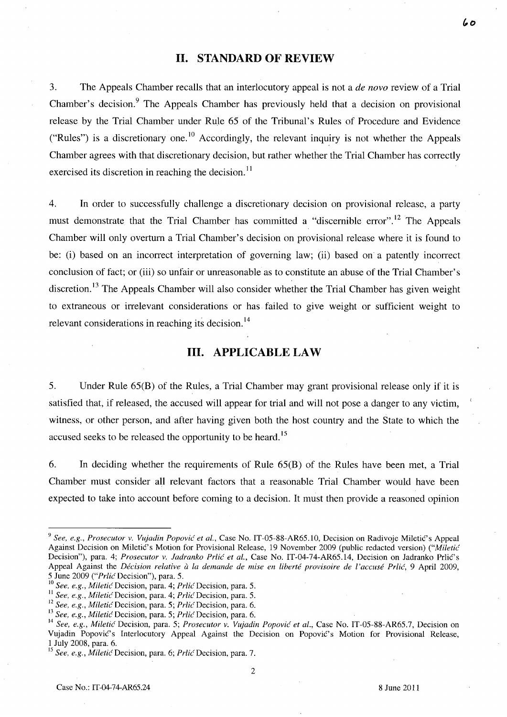## **11.** STANDARD **OF** REVIEW

3. The Appeals Chamber recalls that an interlocutory appeal is not a *de novo* review of a Trial Chamber's decision.<sup>9</sup> The Appeals Chamber has previously held that a decision on provisional release by the Trial Chamber under Rule 65 of the Tribunal's Rules of Procedure and Evidence ("Rules") is a discretionary one.<sup>10</sup> Accordingly, the relevant inquiry is not whether the Appeals Chamber agrees with that discretionary decision, but rather whether the Trial Chamber has correctly exercised its discretion in reaching the decision.<sup>11</sup>

4. In order to successfully challenge a discretionary decision on provisional release, a party must demonstrate that the Trial Chamber has committed a "discernible error".<sup>12</sup> The Appeals Chamber will only overturn a Trial Chamber's decision on provisional release where it is found to be: (i) based on an incorrect interpretation of governing law; (ii) based on a patently incorrect conclusion of fact; or (iii) so unfair or unreasonable as to constitute an abuse of the Trial Chamber's discretion.<sup>13</sup> The Appeals Chamber will also consider whether the Trial Chamber has given weight to extraneous or irrelevant considerations or has failed to give weight or sufficient weight to relevant considerations in reaching its decision.<sup>14</sup>

#### **Ill.** APPLICABLE LAW

5. Under Rule 65(B) of the Rules, a Trial Chamber may grant provisional release only if it is satisfied that, if released, the accused will appear for trial and will not pose a danger to any victim, witness, or other person, and after having given both the host country and the State to which the accused seeks to be released the opportunity to be heard.<sup>15</sup>

6. In deciding whether the requirements of Rule 65(B) of the Rules have been met, a Trial Chamber must consider all relevant factors that a reasonable Trial Chamber would have been expected to take into account before coming to a decision. It must then provide a reasoned opinion

<sup>&</sup>lt;sup>9</sup> See, e.g., Prosecutor v. *Vujadin Popović et al.*, Case No. IT-05-88-AR65.10, Decision on Radivoje Miletić's Appeal Against Decision on Miletic's Motion for Provisional Release, 19 November 2009 (public redacted version) ("Miletic Decision"), para. 4; *Prosecutor v. Jadranko Prlić et al.*, Case No. IT-04-74-AR65.14, Decision on Jadranko Prlić's Appeal Against the *Décision relative à la demande de mise en liberté provisoire de l'accusé Prlić*, 9 April 2009, 5 June 2009 *("Prlic* Decision"), para. 5.

<sup>10</sup>*See, e.g., Miletic* Decision, para. 4; *Prlic* Decision, para. 5.

<sup>&</sup>lt;sup>11</sup> See, e.g., Miletic Decision, para. 4; *Prlic Decision, para.* 5.

<sup>12</sup>*See, e.g., Miletic* Decision, para. 5; *Prlic* Decision, para. 6.

<sup>13</sup>*See, e.g., Miletic* Decision, para. 5; *Prlic* Decision, para. 6.

<sup>14</sup>*See, e.g., Miletic* Decision, para. 5; *Prosecutor* v. *Vujadin Popovic et al.,* Case No. IT-05-88-AR65.7, Decision on Vujadin Popović's Interlocutory Appeal Against the Decision on Popović's Motion for Provisional Release, 1 July 2008, para. 6.

<sup>15</sup>*See, e.g., MileticDecision,* para. 6; *PrlicDecision,* para. 7.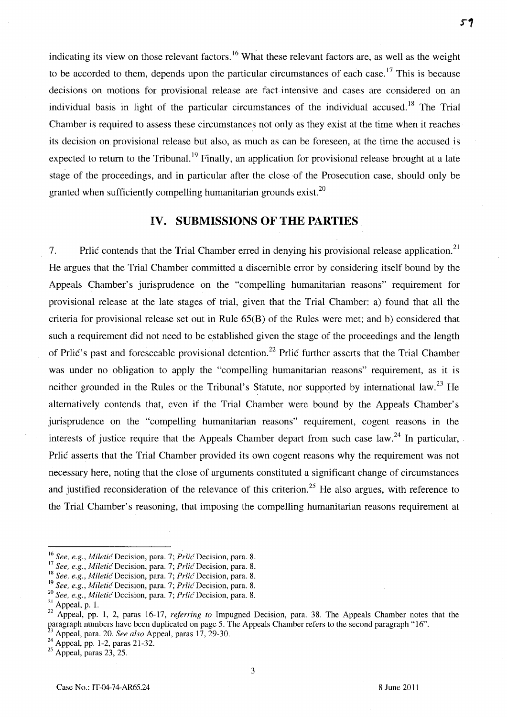indicating its view on those relevant factors.<sup>16</sup> What these relevant factors are, as well as the weight to be accorded to them, depends upon the particular circumstances of each case.<sup>17</sup> This is because decisions on motions for provisional release are fact-intensive and cases are considered on an individual basis in light of the particular circumstances of the individual accused.<sup>18</sup> The Trial Chamber is required to assess these circumstances not only as they exist at the time when it reaches its decision on provisional release but also, as much as can be foreseen, at the time the accused is expected to return to the Tribunal.<sup>19</sup> Finally, an application for provisional release brought at a late stage of the proceedings, and in particular after the close of the Prosecution case, should only be granted when sufficiently compelling humanitarian grounds exist.<sup>20</sup>

## **IV. SUBMISSIONS OF THE PARTIES.**

7. Prlic contends that the Trial Chamber erred in denying his provisional release application.<sup>21</sup> He argues that the Trial Chamber committed a discernible error by considering itself bound by the Appeals Chamber's jurisprudence on the "compelling humanitarian reasons" requirement for provisional release at the late stages of trial, given that the Trial Chamber: a) found that all the criteria for provisional release set out in Rule 65(B) of the Rules were met; and b) considered that such a requirement did not need to be established given the stage of the proceedings and the length of Prlic's past and foreseeable provisional detention.<sup>22</sup> Prlic further asserts that the Trial Chamber was under no obligation to apply the "compelling humanitarian reasons" requirement, as it is neither grounded in the Rules or the Tribunal's Statute, nor supported by international law.<sup>23</sup> He alternatively contends that, even if the Trial Chamber were bound by the Appeals Chamber's jurisprudence on the "compelling humanitarian reasons" requirement, cogent reasons in the interests of justice require that the Appeals Chamber depart from such case law.<sup>24</sup> In particular, Prlic asserts that the Trial Chamber provided its own cogent reasons why the requirement was not necessary here, noting that the close of arguments constituted a significant change of circumstances and justified reconsideration of the relevance of this criterion.<sup>25</sup> He also argues, with reference to the Trial Chamber's reasoning, that imposing the compelling humanitarian reasons requirement at

 $25$  Appeal, paras 23, 25.

<sup>16</sup>*See, e.g., Miletic* Decision, para. 7; *Prlic* Decision, para. 8.

<sup>17</sup>*See, e.g., Miletic* Decision, para. 7; *Prlic* Decision, para. 8.

<sup>18</sup>*See, e.g., Miletic* Decision, para. 7; *Prlic* Decision, para. 8.

<sup>&</sup>lt;sup>19</sup> See, e.g., Miletic Decision, para. 7; Prlic Decision, para. 8.

<sup>&</sup>lt;sup>20</sup> See, e.g., Miletic Decision, para. 7; *Prlic Decision*, para. 8.

 $21$  Appeal, p. 1.

<sup>&</sup>lt;sup>22</sup> Appeal, pp. 1, 2, paras 16-17, *referring to* Impugned Decision, para. 38. The Appeals Chamber notes that the paragraph numbers have been duplicated on page 5. The Appeals Chamber refers to the second paragraph "16".  $3$  Appeal, para. 20. *See also* Appeal, paras  $17, 29-30$ .

 $^{24}$  Appeal, pp. 1-2, paras 21-32.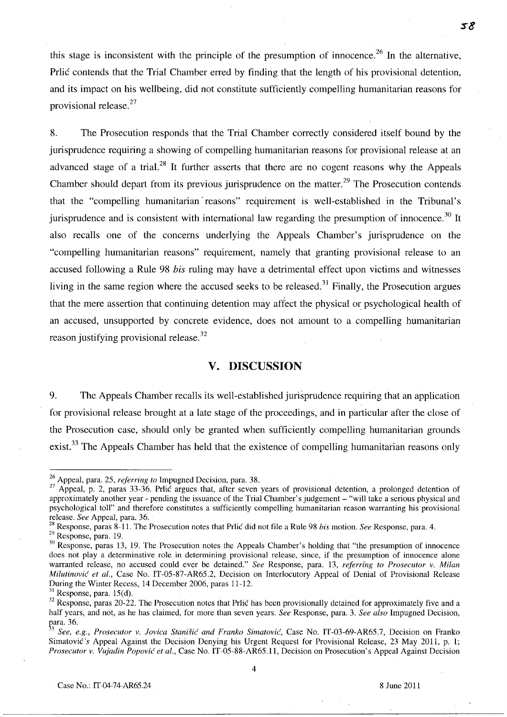this stage is inconsistent with the principle of the presumption of innocence.<sup>26</sup> In the alternative, Prlic contends that the Trial Chamber erred by finding that the length of his provisional detention, and its impact on his wellbeing, did not constitute sufficiently compelling humanitarian reasons for provisional release. $27$ 

8. The Prosecution responds that the Trial Chamber correctly considered itself bound by the jurisprudence requiring a showing of compelling humanitarian reasons for provisional release at an advanced stage of a trial.<sup>28</sup> It further asserts that there are no cogent reasons why the Appeals Chamber should depart from its previous jurisprudence on the matter.<sup>29</sup> The Prosecution contends that the "compelling humanitarian reasons" requirement is well-established in the Tribunal's jurisprudence and is consistent with international law regarding the presumption of innocence.<sup>30</sup> It also recalls one of the concerns underlying the Appeals Chamber's jurisprudence on the "compelling humanitarian reasons" requirement, namely that granting provisional release to an accused following a Rule 98 *his* ruling may have a detrimental effect upon victims and witnesses living in the same region where the accused seeks to be released.<sup>31</sup> Finally, the Prosecution argues that the mere assertion that continuing detention may affect the physical or psychological health of an accused, unsupported by concrete evidence, does not amount to a compelling humanitarian reason justifying provisional release.<sup>32</sup>

## **v. DISCUSSION**

9. The Appeals Chamber recalls its well-established jurisprudence requiring that an application for provisional release brought at a late stage of the proceedings, and in particular after the close of the Prosecution case, should only be granted when sufficiently compelling humanitarian grounds exist.<sup>33</sup> The Appeals Chamber has held that the existence of compelling humanitarian reasons only

<sup>26</sup> Appeal, para. 25, *referring to* Impugned Decision, para. 38.

 $27$  Appeal, p. 2, paras 33-36. Prlic argues that, after seven years of provisional detention, a prolonged detention of approximately another year - pending the issuance of the Trial Chamber's judgement - "will take a serious physical and psychological toll" and therefore constitutes a sufficiently compelling humanitarian reason warranting his provisional release. *See* Appeal, para. 36.

<sup>28</sup> Response, paras 8-11. The Prosecution notes that Prlic did not file a Rule 98 *his* motion. *See* Response, para. 4.

<sup>29</sup> Response, para. 19.

<sup>&</sup>lt;sup>30</sup> Response, paras 13, 19. The Prosecution notes the Appeals Chamber's holding that "the presumption of innocence does not play a determinative role in determining provisional release, since, if the presumption of innocence alone warranted release, no accused could ever be detained." *See* Response, para. 13, *referring to Prosecutor v. Milan Milutinović et al.*, Case No. IT-05-87-AR65.2, Decision on Interlocutory Appeal of Denial of Provisional Release During the Winter Recess, 14 December 2006, paras 11-12.

 $31$  Response, para. 15(d).

<sup>&</sup>lt;sup>32</sup> Response, paras 20-22. The Prosecution notes that Prlic has been provisionally detained for approximately five and a half years, and not, as he has claimed, for more than seven years. *See* Response, para. 3. *See also* Impugned Decision, para. 36.

See, e.g., Prosecutor v. Jovica Stanišić and Franko Simatović, Case No. IT-03-69-AR65.7, Decision on Franko Simatovic's Appeal Against the Decision Denying his Urgent Request for Provisional Release, 23 May 2011, p. 1; *Prosecutor v. Vujadin Popović et al., Case No. IT-05-88-AR65.11, Decision on Prosecution's Appeal Against Decision*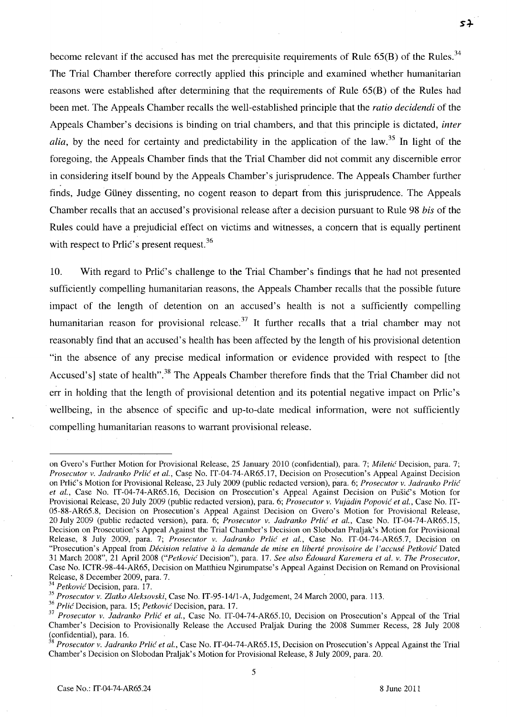become relevant if the accused has met the prerequisite requirements of Rule  $65(B)$  of the Rules.<sup>34</sup> The Trial Chamber therefore correctly applied this principle and examined whether humanitarian reasons were established after determining that the requirements of Rule 65(B) of the Rules had been met. The Appeals Chamber recalls the well-established principle that the *ratio decidendi* of the Appeals Chamber's decisions is binding on trial chambers, and that this principle is dictated, *inter alia,* by the need for certainty and predictability in the application of the law. 35 **In** light of the foregoing, the Appeals Chamber finds that the Trial Chamber did not commit any discernible error in considering itself bound by the Appeals Chamber's jurisprudence. The Appeals Chamber further finds, Judge Güney dissenting, no cogent reason to depart from this jurisprudence. The Appeals Chamber recalls that an accused's provisional release after a decision pursuant to Rule 98 *his* of the Rules could have a prejudicial effect on victims and witnesses, a concern that is equally pertinent with respect to Prlic's present request.  $36$ 

10. With regard to PrliC's challenge to the Trial Chamber's findings that he had not presented sufficiently compelling humanitarian reasons, the Appeals Chamber recalls that the possible future impact of the length of detention on an accused's health is not a sufficiently compelling humanitarian reason for provisional release.<sup>37</sup> It further recalls that a trial chamber may not reasonably find that an accused's health has been affected by the length of his provisional detention "in the absence of any precise medical information or evidence provided with respect to [the Accused's] state of health".<sup>38</sup> The Appeals Chamber therefore finds that the Trial Chamber did not err in holding that the length of provisional detention and its potential negative impact on Prlic's wellbeing, in the absence of specific and up-to-date medical information, were not sufficiently compelling humanitarian reasons to warrant provisional release.

 $54$ 

on Gvero's Further Motion for Provisional Release, 25 January 2010 (confidential), para. 7; *Miletić* Decision, para. 7; *Prosecutor v. ladranko Prlic et aI.,* Case No. IT-04-74-AR65.17, Decision on Prosecution's Appeal Against Decision on Prlic's Motion for Provisional Release, 23 July 2009 (public redacted version), para. 6; *Prosecutor v. Jadranko Prlic* et al., Case No. IT-04-74-AR65.16, Decision on Prosecution's Appeal Against Decision on Pušić's Motion for Provisional Release, 20 July 2009 (public redacted version), para. 6; *Prosecutor v. Vujadin Popović et al.*, Case No. IT-05-88-AR65.8, Decision on Prosecution's Appeal Against Decision on Gvero's Motion for Provisional Release, 20 July 2009 (public redacted version), para. 6; *Prosecutor v. Jadranko Prlić et al.*, Case No. IT-04-74-AR65.15, Decision on Prosecution's Appeal Against the Trial Chamber's Decision on Slobodan Praljak's Motion for Provisional Release, 8 July 2009, para. 7; *Prosecutor v. ladranko Prlic et al.,* Case No. IT-04-74-AR65.7, Decision on "Prosecution's Appeal from *Decision relative a la demande de mise en liberte provisoire de l'accuse Petkovic* Dated 31 March 2008", 21 April 2008 *("Petkovic* Decision"), para. 17. *See. also Edouard Karemera et al. v. The Prosecutor,*  Case No. ICTR-98-44-AR65, Decision on Matthieu Ngirumpatse's Appeal Against Decision on Remand on Provisional Release, 8 December 2009, para. 7. .

*<sup>34</sup> Petkovic* Decision, para. 17.

*<sup>35</sup> Prosecutor v. Zlatko Aleksovski,* Case No. IT-95-14/l-A, Judgement, 24 March 2000, para. 113.

*<sup>36</sup> Prlic* Decision, para. 15; *Petkovic* Decision, para. 17.

<sup>&</sup>lt;sup>37</sup> Prosecutor v. Jadranko Prlić et al., Case No. IT-04-74-AR65.10, Decision on Prosecution's Appeal of the Trial Chamber's Decision to Provisionally Release the Accused Praljak During the 2008 Summer Recess, 28 July 2008 (confidential), para. 16.

<sup>&</sup>lt;sup>38</sup> Prosecutor v. Jadranko Prlić et al., Case No. IT-04-74-AR65.15, Decision on Prosecution's Appeal Against the Trial Chamber's Decision on Slobodan Praljak's Motion for Provisional Release, 8 July 2009, para. 20.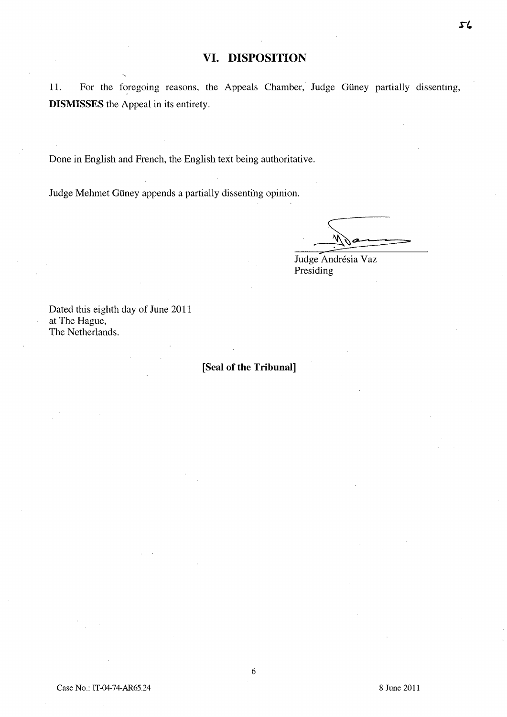## **VI. DISPOSITION**

11. For the foregoing reasons, the Appeals Chamber, Judge Giiney partially dissenting, **DISMISSES** the Appeal in its entirety.

Done in English and French, the English text being authoritative.

Judge Mehmet Giiney appends a partially dissenting opinion.

 $\frac{1}{\sqrt{2\pi}}$ 

Judge Andrésia Vaz Presiding

Dated this eighth day of June 2011 at The Hague, The Netherlands.

### **[Seal of the Tribunal]**

6